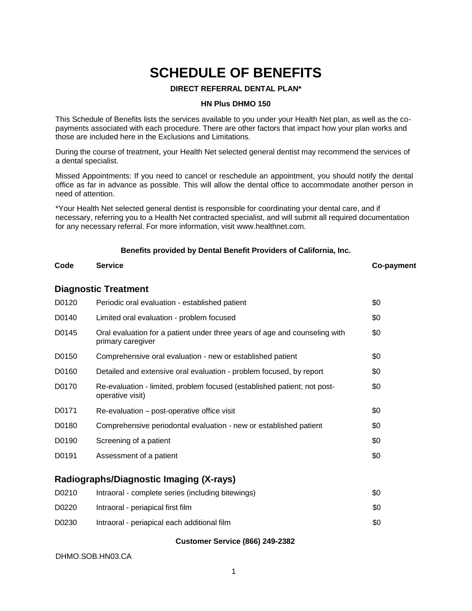# **SCHEDULE OF BENEFITS**

#### **DIRECT REFERRAL DENTAL PLAN\***

#### **HN Plus DHMO 150**

This Schedule of Benefits lists the services available to you under your Health Net plan, as well as the copayments associated with each procedure. There are other factors that impact how your plan works and those are included here in the Exclusions and Limitations.

During the course of treatment, your Health Net selected general dentist may recommend the services of a dental specialist.

Missed Appointments: If you need to cancel or reschedule an appointment, you should notify the dental office as far in advance as possible. This will allow the dental office to accommodate another person in need of attention.

\*Your Health Net selected general dentist is responsible for coordinating your dental care, and if necessary, referring you to a Health Net contracted specialist, and will submit all required documentation for any necessary referral. For more information, visit www.healthnet.com.

#### **Benefits provided by Dental Benefit Providers of California, Inc.**

# **Code Service Co-payment**

#### **Diagnostic Treatment**

| D0120 | Periodic oral evaluation - established patient                                                  | \$0 |
|-------|-------------------------------------------------------------------------------------------------|-----|
| D0140 | Limited oral evaluation - problem focused                                                       | \$0 |
| D0145 | Oral evaluation for a patient under three years of age and counseling with<br>primary caregiver | \$0 |
| D0150 | Comprehensive oral evaluation - new or established patient                                      | \$0 |
| D0160 | Detailed and extensive oral evaluation - problem focused, by report                             | \$0 |
| D0170 | Re-evaluation - limited, problem focused (established patient; not post-<br>operative visit)    | \$0 |
| D0171 | Re-evaluation – post-operative office visit                                                     | \$0 |
| D0180 | Comprehensive periodontal evaluation - new or established patient                               | \$0 |
| D0190 | Screening of a patient                                                                          | \$0 |
| D0191 | Assessment of a patient                                                                         | \$0 |
|       |                                                                                                 |     |

### **Radiographs/Diagnostic Imaging (X-rays)**

| D0210 | Intraoral - complete series (including bitewings) | \$0 |
|-------|---------------------------------------------------|-----|
| D0220 | Intraoral - periapical first film                 | \$0 |
| D0230 | Intraoral - periapical each additional film       | \$0 |

#### **Customer Service (866) 249-2382**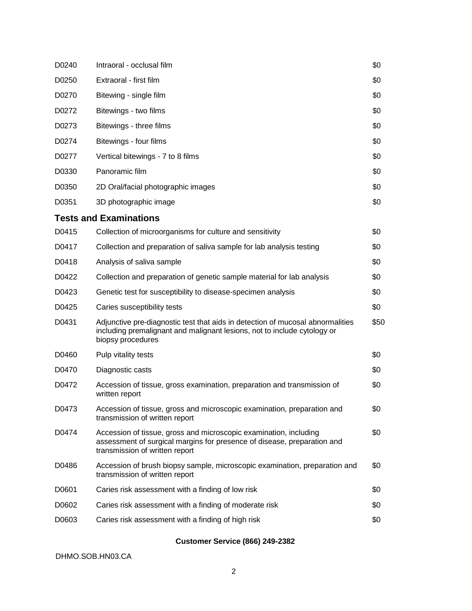| D0240 | Intraoral - occlusal film                                                                                                                                                       | \$0  |
|-------|---------------------------------------------------------------------------------------------------------------------------------------------------------------------------------|------|
| D0250 | Extraoral - first film                                                                                                                                                          | \$0  |
| D0270 | Bitewing - single film                                                                                                                                                          | \$0  |
| D0272 | Bitewings - two films                                                                                                                                                           | \$0  |
| D0273 | Bitewings - three films                                                                                                                                                         | \$0  |
| D0274 | Bitewings - four films                                                                                                                                                          | \$0  |
| D0277 | Vertical bitewings - 7 to 8 films                                                                                                                                               | \$0  |
| D0330 | Panoramic film                                                                                                                                                                  | \$0  |
| D0350 | 2D Oral/facial photographic images                                                                                                                                              | \$0  |
| D0351 | 3D photographic image                                                                                                                                                           | \$0  |
|       | <b>Tests and Examinations</b>                                                                                                                                                   |      |
| D0415 | Collection of microorganisms for culture and sensitivity                                                                                                                        | \$0  |
| D0417 | Collection and preparation of saliva sample for lab analysis testing                                                                                                            | \$0  |
| D0418 | Analysis of saliva sample                                                                                                                                                       | \$0  |
| D0422 | Collection and preparation of genetic sample material for lab analysis                                                                                                          | \$0  |
| D0423 | Genetic test for susceptibility to disease-specimen analysis                                                                                                                    | \$0  |
| D0425 | Caries susceptibility tests                                                                                                                                                     | \$0  |
| D0431 | Adjunctive pre-diagnostic test that aids in detection of mucosal abnormalities<br>including premalignant and malignant lesions, not to include cytology or<br>biopsy procedures | \$50 |
| D0460 | Pulp vitality tests                                                                                                                                                             | \$0  |
| D0470 | Diagnostic casts                                                                                                                                                                | \$0  |
| D0472 | Accession of tissue, gross examination, preparation and transmission of<br>written report                                                                                       | \$0  |
| D0473 | Accession of tissue, gross and microscopic examination, preparation and<br>transmission of written report                                                                       | \$0  |
| D0474 | Accession of tissue, gross and microscopic examination, including<br>assessment of surgical margins for presence of disease, preparation and<br>transmission of written report  | \$0  |
| D0486 | Accession of brush biopsy sample, microscopic examination, preparation and<br>transmission of written report                                                                    | \$0  |
| D0601 | Caries risk assessment with a finding of low risk                                                                                                                               | \$0  |
| D0602 | Caries risk assessment with a finding of moderate risk                                                                                                                          | \$0  |
| D0603 | Caries risk assessment with a finding of high risk                                                                                                                              | \$0  |
|       |                                                                                                                                                                                 |      |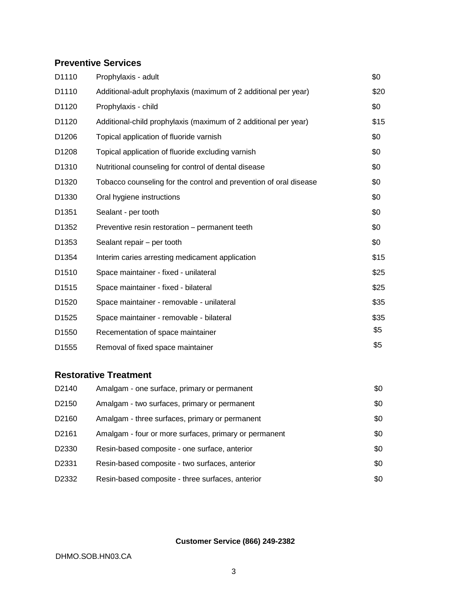# **Preventive Services**

| D1110             | Prophylaxis - adult                                               | \$0  |
|-------------------|-------------------------------------------------------------------|------|
| D1110             | Additional-adult prophylaxis (maximum of 2 additional per year)   | \$20 |
| D1120             | Prophylaxis - child                                               | \$0  |
| D <sub>1120</sub> | Additional-child prophylaxis (maximum of 2 additional per year)   | \$15 |
| D1206             | Topical application of fluoride varnish                           | \$0  |
| D1208             | Topical application of fluoride excluding varnish                 | \$0  |
| D <sub>1310</sub> | Nutritional counseling for control of dental disease              | \$0  |
| D1320             | Tobacco counseling for the control and prevention of oral disease | \$0  |
| D <sub>1330</sub> | Oral hygiene instructions                                         | \$0  |
| D <sub>1351</sub> | Sealant - per tooth                                               | \$0  |
| D1352             | Preventive resin restoration - permanent teeth                    | \$0  |
| D <sub>1353</sub> | Sealant repair - per tooth                                        | \$0  |
| D <sub>1354</sub> | Interim caries arresting medicament application                   | \$15 |
| D1510             | Space maintainer - fixed - unilateral                             | \$25 |
| D <sub>1515</sub> | Space maintainer - fixed - bilateral                              | \$25 |
| D <sub>1520</sub> | Space maintainer - removable - unilateral                         | \$35 |
| D <sub>1525</sub> | Space maintainer - removable - bilateral                          | \$35 |
| D <sub>1550</sub> | Recementation of space maintainer                                 | \$5  |
| D <sub>1555</sub> | Removal of fixed space maintainer                                 | \$5  |

# **Restorative Treatment**

| D2140 | Amalgam - one surface, primary or permanent           | \$0 |
|-------|-------------------------------------------------------|-----|
| D2150 | Amalgam - two surfaces, primary or permanent          | \$0 |
| D2160 | Amalgam - three surfaces, primary or permanent        | \$0 |
| D2161 | Amalgam - four or more surfaces, primary or permanent | \$0 |
| D2330 | Resin-based composite - one surface, anterior         | \$0 |
| D2331 | Resin-based composite - two surfaces, anterior        | \$0 |
| D2332 | Resin-based composite - three surfaces, anterior      | \$0 |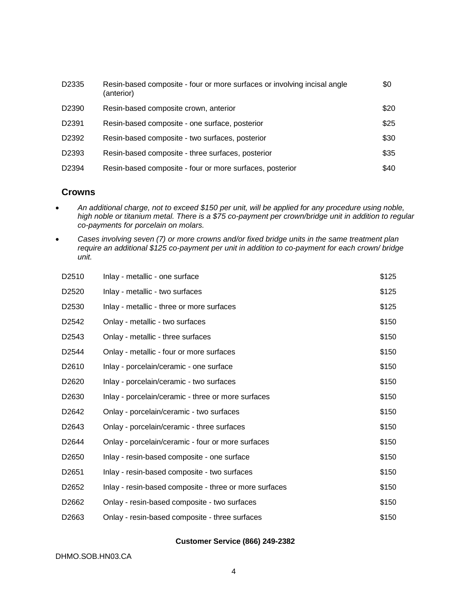| D2335             | Resin-based composite - four or more surfaces or involving incisal angle<br>(anterior) | \$0  |
|-------------------|----------------------------------------------------------------------------------------|------|
| D <sub>2390</sub> | Resin-based composite crown, anterior                                                  | \$20 |
| D <sub>2391</sub> | Resin-based composite - one surface, posterior                                         | \$25 |
| D2392             | Resin-based composite - two surfaces, posterior                                        | \$30 |
| D2393             | Resin-based composite - three surfaces, posterior                                      | \$35 |
| D2394             | Resin-based composite - four or more surfaces, posterior                               | \$40 |

#### **Crowns**

- *An additional charge, not to exceed \$150 per unit, will be applied for any procedure using noble, high noble or titanium metal. There is a \$75 co-payment per crown/bridge unit in addition to regular co-payments for porcelain on molars.*
- *Cases involving seven (7) or more crowns and/or fixed bridge units in the same treatment plan require an additional \$125 co-payment per unit in addition to co-payment for each crown/ bridge unit.*

| D2510             | Inlay - metallic - one surface                         | \$125 |
|-------------------|--------------------------------------------------------|-------|
| D <sub>2520</sub> | Inlay - metallic - two surfaces                        | \$125 |
| D <sub>2530</sub> | Inlay - metallic - three or more surfaces              | \$125 |
| D <sub>2542</sub> | Onlay - metallic - two surfaces                        | \$150 |
| D <sub>2543</sub> | Onlay - metallic - three surfaces                      | \$150 |
| D <sub>2544</sub> | Onlay - metallic - four or more surfaces               | \$150 |
| D <sub>2610</sub> | Inlay - porcelain/ceramic - one surface                | \$150 |
| D <sub>2620</sub> | Inlay - porcelain/ceramic - two surfaces               | \$150 |
| D <sub>2630</sub> | Inlay - porcelain/ceramic - three or more surfaces     | \$150 |
| D <sub>2642</sub> | Onlay - porcelain/ceramic - two surfaces               | \$150 |
| D <sub>2643</sub> | Onlay - porcelain/ceramic - three surfaces             | \$150 |
| D <sub>2644</sub> | Onlay - porcelain/ceramic - four or more surfaces      | \$150 |
| D <sub>2650</sub> | Inlay - resin-based composite - one surface            | \$150 |
| D <sub>2651</sub> | Inlay - resin-based composite - two surfaces           | \$150 |
| D <sub>2652</sub> | Inlay - resin-based composite - three or more surfaces | \$150 |
| D2662             | Onlay - resin-based composite - two surfaces           | \$150 |
| D <sub>2663</sub> | Onlay - resin-based composite - three surfaces         | \$150 |

#### **Customer Service (866) 249-2382**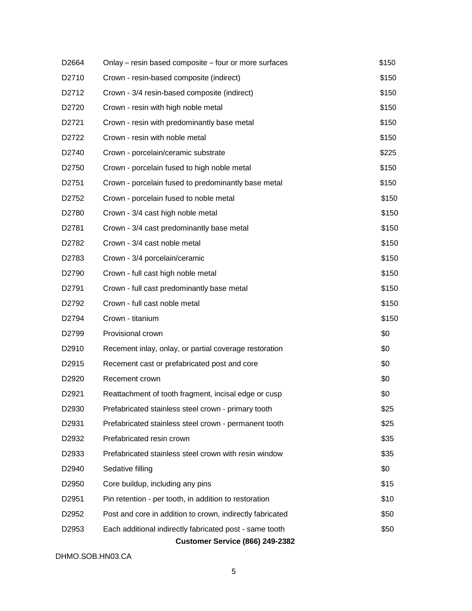| D <sub>2664</sub> | Onlay - resin based composite - four or more surfaces     | \$150 |
|-------------------|-----------------------------------------------------------|-------|
| D2710             | Crown - resin-based composite (indirect)                  | \$150 |
| D <sub>2712</sub> | Crown - 3/4 resin-based composite (indirect)              | \$150 |
| D2720             | Crown - resin with high noble metal                       | \$150 |
| D <sub>2721</sub> | Crown - resin with predominantly base metal               | \$150 |
| D2722             | Crown - resin with noble metal                            | \$150 |
| D2740             | Crown - porcelain/ceramic substrate                       | \$225 |
| D <sub>2750</sub> | Crown - porcelain fused to high noble metal               | \$150 |
| D <sub>2751</sub> | Crown - porcelain fused to predominantly base metal       | \$150 |
| D <sub>2752</sub> | Crown - porcelain fused to noble metal                    | \$150 |
| D2780             | Crown - 3/4 cast high noble metal                         | \$150 |
| D <sub>2781</sub> | Crown - 3/4 cast predominantly base metal                 | \$150 |
| D <sub>2782</sub> | Crown - 3/4 cast noble metal                              | \$150 |
| D2783             | Crown - 3/4 porcelain/ceramic                             | \$150 |
| D2790             | Crown - full cast high noble metal                        | \$150 |
| D2791             | Crown - full cast predominantly base metal                | \$150 |
| D <sub>2792</sub> | Crown - full cast noble metal                             | \$150 |
| D2794             | Crown - titanium                                          | \$150 |
| D2799             | Provisional crown                                         | \$0   |
| D <sub>2910</sub> | Recement inlay, onlay, or partial coverage restoration    | \$0   |
| D <sub>2915</sub> | Recement cast or prefabricated post and core              | \$0   |
| D <sub>2920</sub> | Recement crown                                            | \$0   |
| D2921             | Reattachment of tooth fragment, incisal edge or cusp      | \$0   |
| D2930             | Prefabricated stainless steel crown - primary tooth       | \$25  |
| D2931             | Prefabricated stainless steel crown - permanent tooth     | \$25  |
| D2932             | Prefabricated resin crown                                 | \$35  |
| D2933             | Prefabricated stainless steel crown with resin window     | \$35  |
| D <sub>2940</sub> | Sedative filling                                          | \$0   |
| D <sub>2950</sub> | Core buildup, including any pins                          | \$15  |
| D <sub>2951</sub> | Pin retention - per tooth, in addition to restoration     | \$10  |
| D <sub>2952</sub> | Post and core in addition to crown, indirectly fabricated | \$50  |
| D <sub>2953</sub> | Each additional indirectly fabricated post - same tooth   | \$50  |
|                   | <b>Customer Service (866) 249-2382</b>                    |       |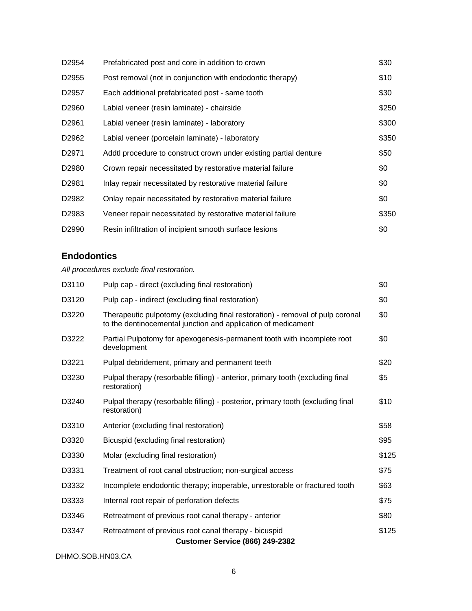| D <sub>2954</sub> | Prefabricated post and core in addition to crown                  | \$30  |
|-------------------|-------------------------------------------------------------------|-------|
| D <sub>2955</sub> | Post removal (not in conjunction with endodontic therapy)         | \$10  |
| D <sub>2957</sub> | Each additional prefabricated post - same tooth                   | \$30  |
| D <sub>2960</sub> | Labial veneer (resin laminate) - chairside                        | \$250 |
| D <sub>2961</sub> | Labial veneer (resin laminate) - laboratory                       | \$300 |
| D <sub>2962</sub> | Labial veneer (porcelain laminate) - laboratory                   | \$350 |
| D <sub>2971</sub> | Addtl procedure to construct crown under existing partial denture | \$50  |
| D <sub>2980</sub> | Crown repair necessitated by restorative material failure         | \$0   |
| D <sub>2981</sub> | Inlay repair necessitated by restorative material failure         | \$0   |
| D <sub>2982</sub> | Onlay repair necessitated by restorative material failure         | \$0   |
| D <sub>2983</sub> | Veneer repair necessitated by restorative material failure        | \$350 |
| D <sub>2990</sub> | Resin infiltration of incipient smooth surface lesions            | \$0   |

# **Endodontics**

*All procedures exclude final restoration.*

| D3110 | Pulp cap - direct (excluding final restoration)                                                                                                | \$0   |
|-------|------------------------------------------------------------------------------------------------------------------------------------------------|-------|
| D3120 | Pulp cap - indirect (excluding final restoration)                                                                                              | \$0   |
| D3220 | Therapeutic pulpotomy (excluding final restoration) - removal of pulp coronal<br>to the dentinocemental junction and application of medicament | \$0   |
| D3222 | Partial Pulpotomy for apexogenesis-permanent tooth with incomplete root<br>development                                                         | \$0   |
| D3221 | Pulpal debridement, primary and permanent teeth                                                                                                | \$20  |
| D3230 | Pulpal therapy (resorbable filling) - anterior, primary tooth (excluding final<br>restoration)                                                 | \$5   |
| D3240 | Pulpal therapy (resorbable filling) - posterior, primary tooth (excluding final<br>restoration)                                                | \$10  |
| D3310 | Anterior (excluding final restoration)                                                                                                         | \$58  |
| D3320 | Bicuspid (excluding final restoration)                                                                                                         | \$95  |
| D3330 | Molar (excluding final restoration)                                                                                                            | \$125 |
| D3331 | Treatment of root canal obstruction; non-surgical access                                                                                       | \$75  |
| D3332 | Incomplete endodontic therapy; inoperable, unrestorable or fractured tooth                                                                     | \$63  |
| D3333 | Internal root repair of perforation defects                                                                                                    | \$75  |
| D3346 | Retreatment of previous root canal therapy - anterior                                                                                          | \$80  |
| D3347 | Retreatment of previous root canal therapy - bicuspid<br><b>Customer Service (866) 249-2382</b>                                                | \$125 |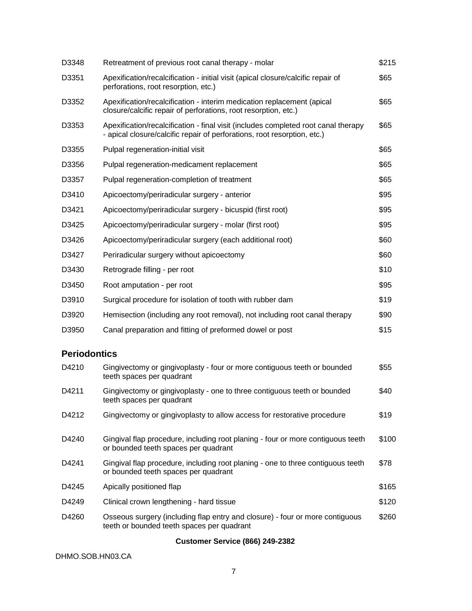| D3348               | Retreatment of previous root canal therapy - molar                                                                                                             | \$215 |
|---------------------|----------------------------------------------------------------------------------------------------------------------------------------------------------------|-------|
| D3351               | Apexification/recalcification - initial visit (apical closure/calcific repair of<br>perforations, root resorption, etc.)                                       | \$65  |
| D3352               | Apexification/recalcification - interim medication replacement (apical<br>closure/calcific repair of perforations, root resorption, etc.)                      | \$65  |
| D3353               | Apexification/recalcification - final visit (includes completed root canal therapy<br>- apical closure/calcific repair of perforations, root resorption, etc.) | \$65  |
| D3355               | Pulpal regeneration-initial visit                                                                                                                              | \$65  |
| D3356               | Pulpal regeneration-medicament replacement                                                                                                                     | \$65  |
| D3357               | Pulpal regeneration-completion of treatment                                                                                                                    | \$65  |
| D3410               | Apicoectomy/periradicular surgery - anterior                                                                                                                   | \$95  |
| D3421               | Apicoectomy/periradicular surgery - bicuspid (first root)                                                                                                      | \$95  |
| D3425               | Apicoectomy/periradicular surgery - molar (first root)                                                                                                         | \$95  |
| D3426               | Apicoectomy/periradicular surgery (each additional root)                                                                                                       | \$60  |
| D3427               | Periradicular surgery without apicoectomy                                                                                                                      | \$60  |
| D3430               | Retrograde filling - per root                                                                                                                                  | \$10  |
| D3450               | Root amputation - per root                                                                                                                                     | \$95  |
| D3910               | Surgical procedure for isolation of tooth with rubber dam                                                                                                      | \$19  |
| D3920               | Hemisection (including any root removal), not including root canal therapy                                                                                     | \$90  |
| D3950               | Canal preparation and fitting of preformed dowel or post                                                                                                       | \$15  |
| <b>Periodontics</b> |                                                                                                                                                                |       |
| D4210               | Gingivectomy or gingivoplasty - four or more contiguous teeth or bounded<br>teeth spaces per quadrant                                                          | \$55  |
| D4211               | Gingivectomy or gingivoplasty - one to three contiguous teeth or bounded<br>teeth spaces per quadrant                                                          | \$40  |
| D4212               | Gingivectomy or gingivoplasty to allow access for restorative procedure                                                                                        | \$19  |
| D4240               | Gingival flap procedure, including root planing - four or more contiguous teeth<br>or bounded teeth spaces per quadrant                                        | \$100 |
| D4241               | Gingival flap procedure, including root planing - one to three contiguous teeth<br>or bounded teeth spaces per quadrant                                        | \$78  |
| D4245               | Apically positioned flap                                                                                                                                       | \$165 |
| D4249               | Clinical crown lengthening - hard tissue                                                                                                                       | \$120 |
| D4260               | Osseous surgery (including flap entry and closure) - four or more contiguous<br>teeth or bounded teeth spaces per quadrant                                     | \$260 |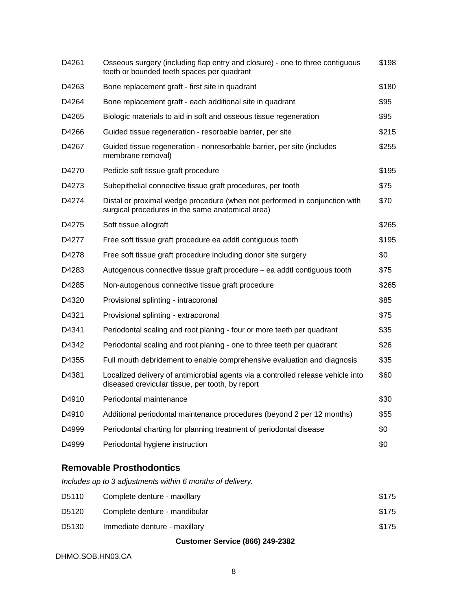| D4261 | Osseous surgery (including flap entry and closure) - one to three contiguous<br>teeth or bounded teeth spaces per quadrant           | \$198 |
|-------|--------------------------------------------------------------------------------------------------------------------------------------|-------|
| D4263 | Bone replacement graft - first site in quadrant                                                                                      | \$180 |
| D4264 | Bone replacement graft - each additional site in quadrant                                                                            | \$95  |
| D4265 | Biologic materials to aid in soft and osseous tissue regeneration                                                                    | \$95  |
| D4266 | Guided tissue regeneration - resorbable barrier, per site                                                                            | \$215 |
| D4267 | Guided tissue regeneration - nonresorbable barrier, per site (includes<br>membrane removal)                                          | \$255 |
| D4270 | Pedicle soft tissue graft procedure                                                                                                  | \$195 |
| D4273 | Subepithelial connective tissue graft procedures, per tooth                                                                          | \$75  |
| D4274 | Distal or proximal wedge procedure (when not performed in conjunction with<br>surgical procedures in the same anatomical area)       | \$70  |
| D4275 | Soft tissue allograft                                                                                                                | \$265 |
| D4277 | Free soft tissue graft procedure ea addtl contiguous tooth                                                                           | \$195 |
| D4278 | Free soft tissue graft procedure including donor site surgery                                                                        | \$0   |
| D4283 | Autogenous connective tissue graft procedure – ea addtl contiguous tooth                                                             | \$75  |
| D4285 | Non-autogenous connective tissue graft procedure                                                                                     | \$265 |
| D4320 | Provisional splinting - intracoronal                                                                                                 | \$85  |
| D4321 | Provisional splinting - extracoronal                                                                                                 | \$75  |
| D4341 | Periodontal scaling and root planing - four or more teeth per quadrant                                                               | \$35  |
| D4342 | Periodontal scaling and root planing - one to three teeth per quadrant                                                               | \$26  |
| D4355 | Full mouth debridement to enable comprehensive evaluation and diagnosis                                                              | \$35  |
| D4381 | Localized delivery of antimicrobial agents via a controlled release vehicle into<br>diseased crevicular tissue, per tooth, by report | \$60  |
| D4910 | Periodontal maintenance                                                                                                              | \$30  |
| D4910 | Additional periodontal maintenance procedures (beyond 2 per 12 months)                                                               | \$55  |
| D4999 | Periodontal charting for planning treatment of periodontal disease                                                                   | \$0   |
| D4999 | Periodontal hygiene instruction                                                                                                      | \$0   |

### **Removable Prosthodontics**

*Includes up to 3 adjustments within 6 months of delivery.*

| D5110 | Complete denture - maxillary  | \$175 |
|-------|-------------------------------|-------|
| D5120 | Complete denture - mandibular | \$175 |
| D5130 | Immediate denture - maxillary | \$175 |

**Customer Service (866) 249-2382**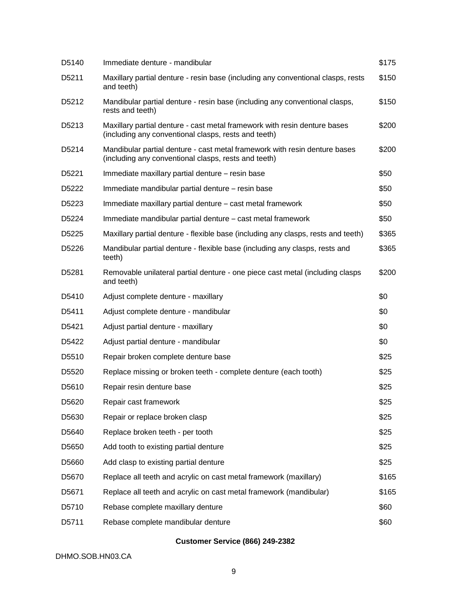| D5140             | Immediate denture - mandibular                                                                                                     | \$175 |
|-------------------|------------------------------------------------------------------------------------------------------------------------------------|-------|
| D5211             | Maxillary partial denture - resin base (including any conventional clasps, rests<br>and teeth)                                     | \$150 |
| D <sub>5212</sub> | Mandibular partial denture - resin base (including any conventional clasps,<br>rests and teeth)                                    | \$150 |
| D <sub>5213</sub> | Maxillary partial denture - cast metal framework with resin denture bases<br>(including any conventional clasps, rests and teeth)  | \$200 |
| D <sub>5214</sub> | Mandibular partial denture - cast metal framework with resin denture bases<br>(including any conventional clasps, rests and teeth) | \$200 |
| D <sub>5221</sub> | Immediate maxillary partial denture - resin base                                                                                   | \$50  |
| D <sub>5222</sub> | Immediate mandibular partial denture – resin base                                                                                  | \$50  |
| D <sub>5223</sub> | Immediate maxillary partial denture - cast metal framework                                                                         | \$50  |
| D5224             | Immediate mandibular partial denture – cast metal framework                                                                        | \$50  |
| D <sub>5225</sub> | Maxillary partial denture - flexible base (including any clasps, rests and teeth)                                                  | \$365 |
| D5226             | Mandibular partial denture - flexible base (including any clasps, rests and<br>teeth)                                              | \$365 |
| D <sub>5281</sub> | Removable unilateral partial denture - one piece cast metal (including clasps<br>and teeth)                                        | \$200 |
| D <sub>5410</sub> | Adjust complete denture - maxillary                                                                                                | \$0   |
| D5411             | Adjust complete denture - mandibular                                                                                               | \$0   |
| D5421             | Adjust partial denture - maxillary                                                                                                 | \$0   |
| D <sub>5422</sub> | Adjust partial denture - mandibular                                                                                                | \$0   |
| D <sub>5510</sub> | Repair broken complete denture base                                                                                                | \$25  |
| D <sub>5520</sub> | Replace missing or broken teeth - complete denture (each tooth)                                                                    | \$25  |
| D5610             | Repair resin denture base                                                                                                          | \$25  |
| D5620             | Repair cast framework                                                                                                              | \$25  |
| D5630             | Repair or replace broken clasp                                                                                                     | \$25  |
| D5640             | Replace broken teeth - per tooth                                                                                                   | \$25  |
| D5650             | Add tooth to existing partial denture                                                                                              | \$25  |
| D5660             | Add clasp to existing partial denture                                                                                              | \$25  |
| D5670             | Replace all teeth and acrylic on cast metal framework (maxillary)                                                                  | \$165 |
| D5671             | Replace all teeth and acrylic on cast metal framework (mandibular)                                                                 | \$165 |
| D5710             | Rebase complete maxillary denture                                                                                                  | \$60  |
| D5711             | Rebase complete mandibular denture                                                                                                 | \$60  |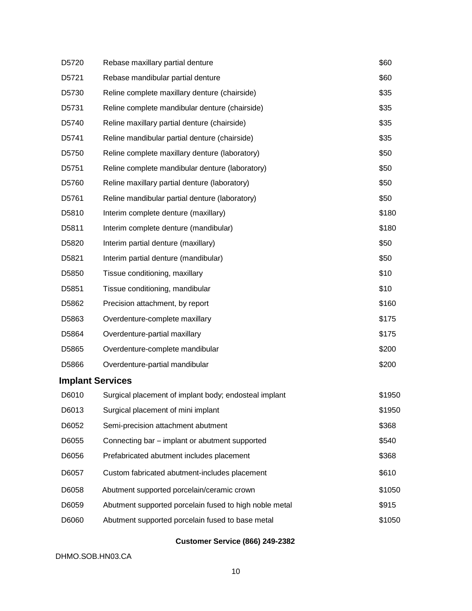| D5720 | Rebase maxillary partial denture                       | \$60   |
|-------|--------------------------------------------------------|--------|
| D5721 | Rebase mandibular partial denture                      | \$60   |
| D5730 | Reline complete maxillary denture (chairside)          | \$35   |
| D5731 | Reline complete mandibular denture (chairside)         | \$35   |
| D5740 | Reline maxillary partial denture (chairside)           | \$35   |
| D5741 | Reline mandibular partial denture (chairside)          | \$35   |
| D5750 | Reline complete maxillary denture (laboratory)         | \$50   |
| D5751 | Reline complete mandibular denture (laboratory)        | \$50   |
| D5760 | Reline maxillary partial denture (laboratory)          | \$50   |
| D5761 | Reline mandibular partial denture (laboratory)         | \$50   |
| D5810 | Interim complete denture (maxillary)                   | \$180  |
| D5811 | Interim complete denture (mandibular)                  | \$180  |
| D5820 | Interim partial denture (maxillary)                    | \$50   |
| D5821 | Interim partial denture (mandibular)                   | \$50   |
| D5850 | Tissue conditioning, maxillary                         | \$10   |
| D5851 | Tissue conditioning, mandibular                        | \$10   |
| D5862 | Precision attachment, by report                        | \$160  |
| D5863 | Overdenture-complete maxillary                         | \$175  |
| D5864 | Overdenture-partial maxillary                          | \$175  |
| D5865 | Overdenture-complete mandibular                        | \$200  |
| D5866 | Overdenture-partial mandibular                         | \$200  |
|       | <b>Implant Services</b>                                |        |
| D6010 | Surgical placement of implant body; endosteal implant  | \$1950 |
| D6013 | Surgical placement of mini implant                     | \$1950 |
| D6052 | Semi-precision attachment abutment                     | \$368  |
| D6055 | Connecting bar - implant or abutment supported         | \$540  |
| D6056 | Prefabricated abutment includes placement              | \$368  |
| D6057 | Custom fabricated abutment-includes placement          | \$610  |
| D6058 | Abutment supported porcelain/ceramic crown             | \$1050 |
| D6059 | Abutment supported porcelain fused to high noble metal | \$915  |
| D6060 | Abutment supported porcelain fused to base metal       | \$1050 |
|       |                                                        |        |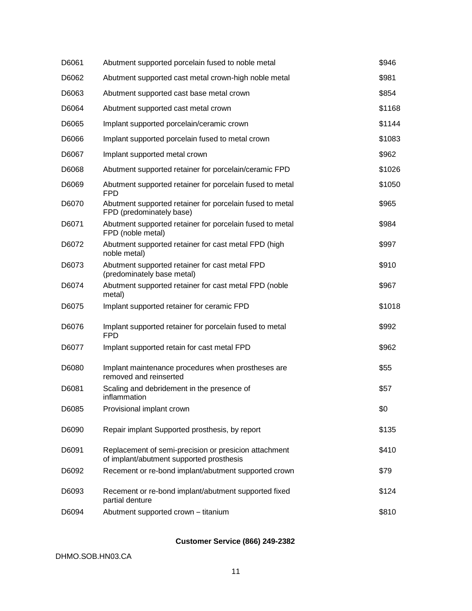| D6061 | Abutment supported porcelain fused to noble metal                                                 | \$946  |
|-------|---------------------------------------------------------------------------------------------------|--------|
| D6062 | Abutment supported cast metal crown-high noble metal                                              | \$981  |
| D6063 | Abutment supported cast base metal crown                                                          | \$854  |
| D6064 | Abutment supported cast metal crown                                                               | \$1168 |
| D6065 | Implant supported porcelain/ceramic crown                                                         | \$1144 |
| D6066 | Implant supported porcelain fused to metal crown                                                  | \$1083 |
| D6067 | Implant supported metal crown                                                                     | \$962  |
| D6068 | Abutment supported retainer for porcelain/ceramic FPD                                             | \$1026 |
| D6069 | Abutment supported retainer for porcelain fused to metal<br><b>FPD</b>                            | \$1050 |
| D6070 | Abutment supported retainer for porcelain fused to metal<br>FPD (predominately base)              | \$965  |
| D6071 | Abutment supported retainer for porcelain fused to metal<br>FPD (noble metal)                     | \$984  |
| D6072 | Abutment supported retainer for cast metal FPD (high<br>noble metal)                              | \$997  |
| D6073 | Abutment supported retainer for cast metal FPD<br>(predominately base metal)                      | \$910  |
| D6074 | Abutment supported retainer for cast metal FPD (noble<br>metal)                                   | \$967  |
| D6075 | Implant supported retainer for ceramic FPD                                                        | \$1018 |
| D6076 | Implant supported retainer for porcelain fused to metal<br>FPD                                    | \$992  |
| D6077 | Implant supported retain for cast metal FPD                                                       | \$962  |
| D6080 | Implant maintenance procedures when prostheses are<br>removed and reinserted                      | \$55   |
| D6081 | Scaling and debridement in the presence of<br>inflammation                                        | \$57   |
| D6085 | Provisional implant crown                                                                         | \$0    |
| D6090 | Repair implant Supported prosthesis, by report                                                    | \$135  |
| D6091 | Replacement of semi-precision or presicion attachment<br>of implant/abutment supported prosthesis | \$410  |
| D6092 | Recement or re-bond implant/abutment supported crown                                              | \$79   |
| D6093 | Recement or re-bond implant/abutment supported fixed<br>partial denture                           | \$124  |
| D6094 | Abutment supported crown - titanium                                                               | \$810  |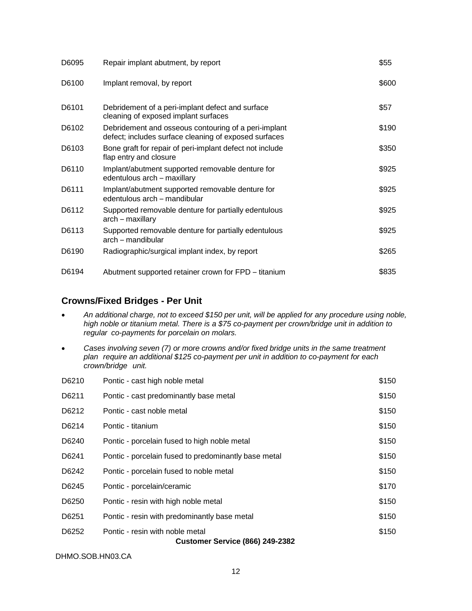| D6095 | Repair implant abutment, by report                                                                            | \$55  |
|-------|---------------------------------------------------------------------------------------------------------------|-------|
| D6100 | Implant removal, by report                                                                                    | \$600 |
| D6101 | Debridement of a peri-implant defect and surface<br>cleaning of exposed implant surfaces                      | \$57  |
| D6102 | Debridement and osseous contouring of a peri-implant<br>defect; includes surface cleaning of exposed surfaces | \$190 |
| D6103 | Bone graft for repair of peri-implant defect not include<br>flap entry and closure                            | \$350 |
| D6110 | Implant/abutment supported removable denture for<br>edentulous arch - maxillary                               | \$925 |
| D6111 | Implant/abutment supported removable denture for<br>edentulous arch – mandibular                              | \$925 |
| D6112 | Supported removable denture for partially edentulous<br>arch – maxillary                                      | \$925 |
| D6113 | Supported removable denture for partially edentulous<br>arch - mandibular                                     | \$925 |
| D6190 | Radiographic/surgical implant index, by report                                                                | \$265 |
| D6194 | Abutment supported retainer crown for FPD - titanium                                                          | \$835 |

### **Crowns/Fixed Bridges - Per Unit**

- *An additional charge, not to exceed \$150 per unit, will be applied for any procedure using noble, high noble or titanium metal. There is a \$75 co-payment per crown/bridge unit in addition to regular co-payments for porcelain on molars.*
- *Cases involving seven (7) or more crowns and/or fixed bridge units in the same treatment plan require an additional \$125 co-payment per unit in addition to co-payment for each crown/bridge unit.*

| D6210 | Pontic - cast high noble metal                       | \$150 |
|-------|------------------------------------------------------|-------|
| D6211 | Pontic - cast predominantly base metal               | \$150 |
| D6212 | Pontic - cast noble metal                            | \$150 |
| D6214 | Pontic - titanium                                    | \$150 |
| D6240 | Pontic - porcelain fused to high noble metal         | \$150 |
| D6241 | Pontic - porcelain fused to predominantly base metal | \$150 |
| D6242 | Pontic - porcelain fused to noble metal              | \$150 |
| D6245 | Pontic - porcelain/ceramic                           | \$170 |
| D6250 | Pontic - resin with high noble metal                 | \$150 |
| D6251 | Pontic - resin with predominantly base metal         | \$150 |
| D6252 | Pontic - resin with noble metal                      | \$150 |
|       | <b>Customer Service (866) 249-2382</b>               |       |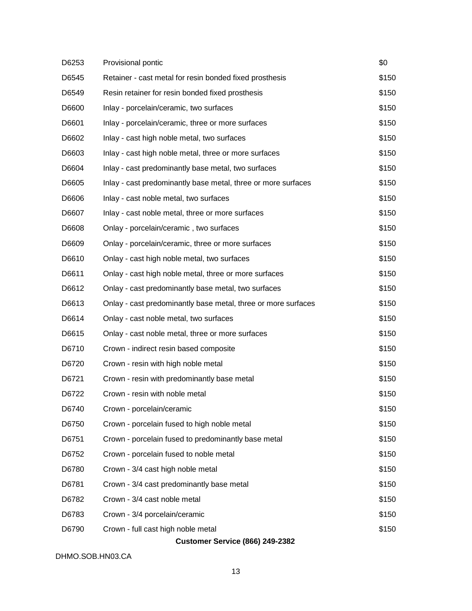| D6253 | Provisional pontic                                            | \$0   |
|-------|---------------------------------------------------------------|-------|
| D6545 | Retainer - cast metal for resin bonded fixed prosthesis       | \$150 |
| D6549 | Resin retainer for resin bonded fixed prosthesis              | \$150 |
| D6600 | Inlay - porcelain/ceramic, two surfaces                       | \$150 |
| D6601 | Inlay - porcelain/ceramic, three or more surfaces             | \$150 |
| D6602 | Inlay - cast high noble metal, two surfaces                   | \$150 |
| D6603 | Inlay - cast high noble metal, three or more surfaces         | \$150 |
| D6604 | Inlay - cast predominantly base metal, two surfaces           | \$150 |
| D6605 | Inlay - cast predominantly base metal, three or more surfaces | \$150 |
| D6606 | Inlay - cast noble metal, two surfaces                        | \$150 |
| D6607 | Inlay - cast noble metal, three or more surfaces              | \$150 |
| D6608 | Onlay - porcelain/ceramic, two surfaces                       | \$150 |
| D6609 | Onlay - porcelain/ceramic, three or more surfaces             | \$150 |
| D6610 | Onlay - cast high noble metal, two surfaces                   | \$150 |
| D6611 | Onlay - cast high noble metal, three or more surfaces         | \$150 |
| D6612 | Onlay - cast predominantly base metal, two surfaces           | \$150 |
| D6613 | Onlay - cast predominantly base metal, three or more surfaces | \$150 |
| D6614 | Onlay - cast noble metal, two surfaces                        | \$150 |
| D6615 | Onlay - cast noble metal, three or more surfaces              | \$150 |
| D6710 | Crown - indirect resin based composite                        | \$150 |
| D6720 | Crown - resin with high noble metal                           | \$150 |
| D6721 | Crown - resin with predominantly base metal                   | \$150 |
| D6722 | Crown - resin with noble metal                                | \$150 |
| D6740 | Crown - porcelain/ceramic                                     | \$150 |
| D6750 | Crown - porcelain fused to high noble metal                   | \$150 |
| D6751 | Crown - porcelain fused to predominantly base metal           | \$150 |
| D6752 | Crown - porcelain fused to noble metal                        | \$150 |
| D6780 | Crown - 3/4 cast high noble metal                             | \$150 |
| D6781 | Crown - 3/4 cast predominantly base metal                     | \$150 |
| D6782 | Crown - 3/4 cast noble metal                                  | \$150 |
| D6783 | Crown - 3/4 porcelain/ceramic                                 | \$150 |
| D6790 | Crown - full cast high noble metal                            | \$150 |
|       | <b>Customer Service (866) 249-2382</b>                        |       |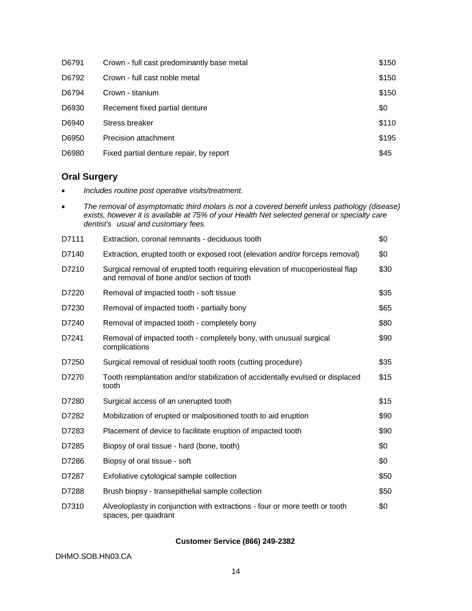| D6791 | Crown - full cast predominantly base metal | \$150 |
|-------|--------------------------------------------|-------|
| D6792 | Crown - full cast noble metal              | \$150 |
| D6794 | Crown - titanium                           | \$150 |
| D6930 | Recement fixed partial denture             | \$0   |
| D6940 | Stress breaker                             | \$110 |
| D6950 | Precision attachment                       | \$195 |
| D6980 | Fixed partial denture repair, by report    | \$45  |

# **Oral Surgery**

*Includes routine post operative visits/treatment.*

| The removal of asymptomatic third molars is not a covered benefit unless pathology (disease)<br>exists, however it is available at 75% of your Health Net selected general or specialty care<br>dentist's usual and customary fees. |                                                                                                                             |      |  |
|-------------------------------------------------------------------------------------------------------------------------------------------------------------------------------------------------------------------------------------|-----------------------------------------------------------------------------------------------------------------------------|------|--|
| D7111                                                                                                                                                                                                                               | Extraction, coronal remnants - deciduous tooth                                                                              | \$0  |  |
| D7140                                                                                                                                                                                                                               | Extraction, erupted tooth or exposed root (elevation and/or forceps removal)                                                | \$0  |  |
| D7210                                                                                                                                                                                                                               | Surgical removal of erupted tooth requiring elevation of mucoperiosteal flap<br>and removal of bone and/or section of tooth | \$30 |  |
| D7220                                                                                                                                                                                                                               | Removal of impacted tooth - soft tissue                                                                                     | \$35 |  |
| D7230                                                                                                                                                                                                                               | Removal of impacted tooth - partially bony                                                                                  | \$65 |  |
| D7240                                                                                                                                                                                                                               | Removal of impacted tooth - completely bony                                                                                 | \$80 |  |
| D7241                                                                                                                                                                                                                               | Removal of impacted tooth - completely bony, with unusual surgical<br>complications                                         | \$90 |  |
| D7250                                                                                                                                                                                                                               | Surgical removal of residual tooth roots (cutting procedure)                                                                | \$35 |  |
| D7270                                                                                                                                                                                                                               | Tooth reimplantation and/or stabilization of accidentally evulsed or displaced<br>tooth                                     | \$15 |  |
| D7280                                                                                                                                                                                                                               | Surgical access of an unerupted tooth                                                                                       | \$15 |  |
| D7282                                                                                                                                                                                                                               | Mobilization of erupted or malpositioned tooth to aid eruption                                                              | \$90 |  |
| D7283                                                                                                                                                                                                                               | Placement of device to facilitate eruption of impacted tooth                                                                | \$90 |  |
| D7285                                                                                                                                                                                                                               | Biopsy of oral tissue - hard (bone, tooth)                                                                                  | \$0  |  |
| D7286                                                                                                                                                                                                                               | Biopsy of oral tissue - soft                                                                                                | \$0  |  |
| D7287                                                                                                                                                                                                                               | Exfoliative cytological sample collection                                                                                   | \$50 |  |
| D7288                                                                                                                                                                                                                               | Brush biopsy - transepithelial sample collection                                                                            | \$50 |  |
| D7310                                                                                                                                                                                                                               | Alveoloplasty in conjunction with extractions - four or more teeth or tooth<br>spaces, per quadrant                         | \$0  |  |

### **Customer Service (866) 249-2382**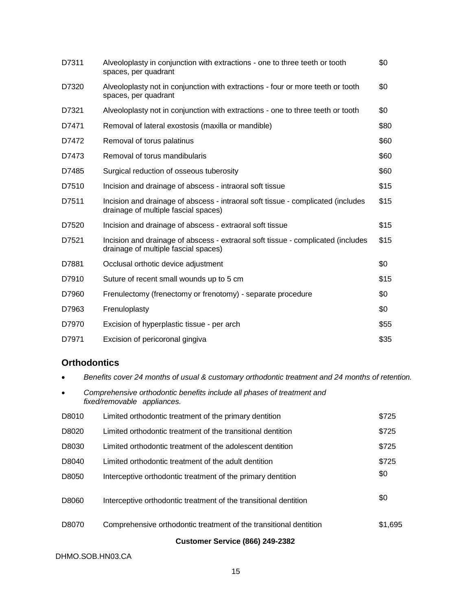| D7311 | Alveoloplasty in conjunction with extractions - one to three teeth or tooth<br>spaces, per quadrant                      | \$0  |
|-------|--------------------------------------------------------------------------------------------------------------------------|------|
| D7320 | Alveoloplasty not in conjunction with extractions - four or more teeth or tooth<br>spaces, per quadrant                  | \$0  |
| D7321 | Alveoloplasty not in conjunction with extractions - one to three teeth or tooth                                          | \$0  |
| D7471 | Removal of lateral exostosis (maxilla or mandible)                                                                       | \$80 |
| D7472 | Removal of torus palatinus                                                                                               | \$60 |
| D7473 | Removal of torus mandibularis                                                                                            | \$60 |
| D7485 | Surgical reduction of osseous tuberosity                                                                                 | \$60 |
| D7510 | Incision and drainage of abscess - intraoral soft tissue                                                                 | \$15 |
| D7511 | Incision and drainage of abscess - intraoral soft tissue - complicated (includes<br>drainage of multiple fascial spaces) | \$15 |
| D7520 | Incision and drainage of abscess - extraoral soft tissue                                                                 | \$15 |
| D7521 | Incision and drainage of abscess - extraoral soft tissue - complicated (includes<br>drainage of multiple fascial spaces) | \$15 |
| D7881 | Occlusal orthotic device adjustment                                                                                      | \$0  |
| D7910 | Suture of recent small wounds up to 5 cm                                                                                 | \$15 |
| D7960 | Frenulectomy (frenectomy or frenotomy) - separate procedure                                                              | \$0  |
| D7963 | Frenuloplasty                                                                                                            | \$0  |
| D7970 | Excision of hyperplastic tissue - per arch                                                                               | \$55 |
| D7971 | Excision of pericoronal gingiva                                                                                          | \$35 |

# **Orthodontics**

*Benefits cover 24 months of usual & customary orthodontic treatment and 24 months of retention.*

|       | Comprehensive orthodontic benefits include all phases of treatment and<br>fixed/removable appliances. |         |
|-------|-------------------------------------------------------------------------------------------------------|---------|
| D8010 | Limited orthodontic treatment of the primary dentition                                                | \$725   |
| D8020 | Limited orthodontic treatment of the transitional dentition                                           | \$725   |
| D8030 | Limited orthodontic treatment of the adolescent dentition                                             | \$725   |
| D8040 | Limited orthodontic treatment of the adult dentition                                                  | \$725   |
| D8050 | Interceptive orthodontic treatment of the primary dentition                                           | \$0     |
| D8060 | Interceptive orthodontic treatment of the transitional dentition                                      | \$0     |
| D8070 | Comprehensive orthodontic treatment of the transitional dentition                                     | \$1,695 |
|       | Customar Candes (OCC) 240 2202                                                                        |         |

### **Customer Service (866) 249-2382**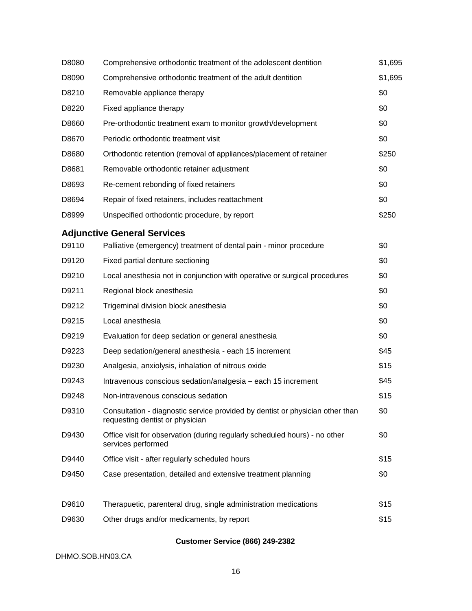| D8080 | Comprehensive orthodontic treatment of the adolescent dentition                                                  | \$1,695 |
|-------|------------------------------------------------------------------------------------------------------------------|---------|
| D8090 | Comprehensive orthodontic treatment of the adult dentition                                                       | \$1,695 |
| D8210 | Removable appliance therapy                                                                                      | \$0     |
| D8220 | Fixed appliance therapy                                                                                          | \$0     |
| D8660 | Pre-orthodontic treatment exam to monitor growth/development                                                     | \$0     |
| D8670 | Periodic orthodontic treatment visit                                                                             | \$0     |
| D8680 | Orthodontic retention (removal of appliances/placement of retainer                                               | \$250   |
| D8681 | Removable orthodontic retainer adjustment                                                                        | \$0     |
| D8693 | Re-cement rebonding of fixed retainers                                                                           | \$0     |
| D8694 | Repair of fixed retainers, includes reattachment                                                                 | \$0     |
| D8999 | Unspecified orthodontic procedure, by report                                                                     | \$250   |
|       | <b>Adjunctive General Services</b>                                                                               |         |
| D9110 | Palliative (emergency) treatment of dental pain - minor procedure                                                | \$0     |
| D9120 | Fixed partial denture sectioning                                                                                 | \$0     |
| D9210 | Local anesthesia not in conjunction with operative or surgical procedures                                        | \$0     |
| D9211 | Regional block anesthesia                                                                                        | \$0     |
| D9212 | Trigeminal division block anesthesia                                                                             | \$0     |
| D9215 | Local anesthesia                                                                                                 | \$0     |
| D9219 | Evaluation for deep sedation or general anesthesia                                                               | \$0     |
| D9223 | Deep sedation/general anesthesia - each 15 increment                                                             | \$45    |
| D9230 | Analgesia, anxiolysis, inhalation of nitrous oxide                                                               | \$15    |
| D9243 | Intravenous conscious sedation/analgesia - each 15 increment                                                     | \$45    |
| D9248 | Non-intravenous conscious sedation                                                                               | \$15    |
| D9310 | Consultation - diagnostic service provided by dentist or physician other than<br>requesting dentist or physician | \$0     |
| D9430 | Office visit for observation (during regularly scheduled hours) - no other<br>services performed                 | \$0     |
| D9440 | Office visit - after regularly scheduled hours                                                                   | \$15    |
| D9450 | Case presentation, detailed and extensive treatment planning                                                     | \$0     |
| D9610 | Therapuetic, parenteral drug, single administration medications                                                  | \$15    |
| D9630 | Other drugs and/or medicaments, by report                                                                        | \$15    |
|       |                                                                                                                  |         |